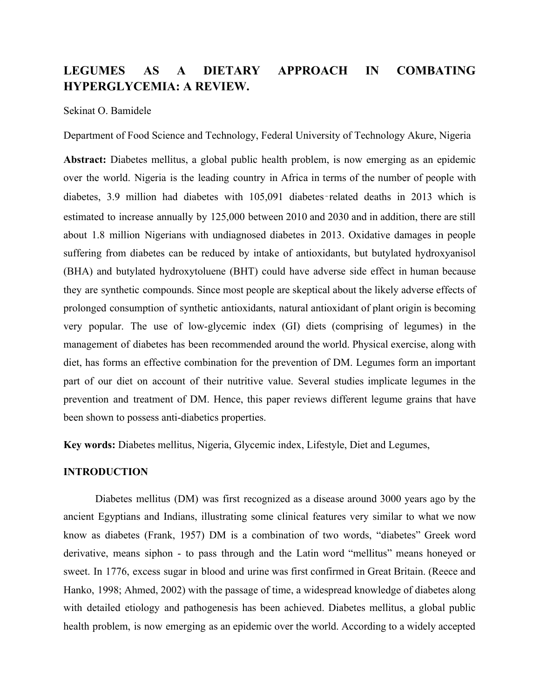# **LEGUMES AS A DIETARY APPROACH IN COMBATING HYPERGLYCEMIA: A REVIEW.**

#### Sekinat O. Bamidele

Department of Food Science and Technology, Federal University of Technology Akure, Nigeria

**Abstract:** Diabetes mellitus, a global public health problem, is now emerging as an epidemic over the world. Nigeria is the leading country in Africa in terms of the number of people with diabetes, 3.9 million had diabetes with 105,091 diabetes‑related deaths in 2013 which is estimated to increase annually by 125,000 between 2010 and 2030 and in addition, there are still about 1.8 million Nigerians with undiagnosed diabetes in 2013. Oxidative damages in people suffering from diabetes can be reduced by intake of antioxidants, but butylated hydroxyanisol (BHA) and butylated hydroxytoluene (BHT) could have adverse side effect in human because they are synthetic compounds. Since most people are skeptical about the likely adverse effects of prolonged consumption of synthetic antioxidants, natural antioxidant of plant origin is becoming very popular. The use of low-glycemic index (GI) diets (comprising of legumes) in the management of diabetes has been recommended around the world. Physical exercise, along with diet, has forms an effective combination for the prevention of DM. Legumes form an important part of our diet on account of their nutritive value. Several studies implicate legumes in the prevention and treatment of DM. Hence, this paper reviews different legume grains that have been shown to possess anti-diabetics properties.

**Key words:** Diabetes mellitus, Nigeria, Glycemic index, Lifestyle, Diet and Legumes,

### **INTRODUCTION**

Diabetes mellitus (DM) was first recognized as a disease around 3000 years ago by the ancient Egyptians and Indians, illustrating some clinical features very similar to what we now know as diabetes (Frank, 1957) DM is a combination of two words, "diabetes" Greek word derivative, means siphon - to pass through and the Latin word "mellitus" means honeyed or sweet. In 1776, excess sugar in blood and urine was first confirmed in Great Britain. (Reece and Hanko, 1998; Ahmed, 2002) with the passage of time, a widespread knowledge of diabetes along with detailed etiology and pathogenesis has been achieved. Diabetes mellitus, a global public health problem, is now emerging as an epidemic over the world. According to a widely accepted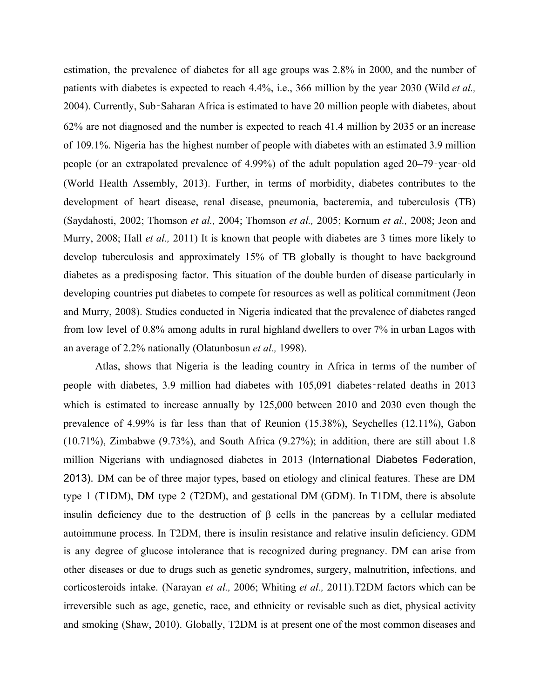estimation, the prevalence of diabetes for all age groups was 2.8% in 2000, and the number of patients with diabetes is expected to reach 4.4%, i.e., 366 million by the year 2030 (Wild *et al.,* 2004). Currently, Sub‑Saharan Africa is estimated to have 20 million people with diabetes, about 62% are not diagnosed and the number is expected to reach 41.4 million by 2035 or an increase of 109.1%. Nigeria has the highest number of people with diabetes with an estimated 3.9 million people (or an extrapolated prevalence of 4.99%) of the adult population aged 20–79‑year‑old (World Health Assembly, 2013). Further, in terms of morbidity, diabetes contributes to the development of heart disease, renal disease, pneumonia, bacteremia, and tuberculosis (TB) (Saydahosti, 2002; Thomson *et al.,* 2004; Thomson *et al.,* 2005; Kornum *et al.,* 2008; Jeon and Murry, 2008; Hall *et al.,* 2011) It is known that people with diabetes are 3 times more likely to develop tuberculosis and approximately 15% of TB globally is thought to have background diabetes as a predisposing factor. This situation of the double burden of disease particularly in developing countries put diabetes to compete for resources as well as political commitment (Jeon and Murry, 2008). Studies conducted in Nigeria indicated that the prevalence of diabetes ranged from low level of 0.8% among adults in rural highland dwellers to over 7% in urban Lagos with an average of 2.2% nationally (Olatunbosun *et al.,* 1998).

Atlas, shows that Nigeria is the leading country in Africa in terms of the number of people with diabetes, 3.9 million had diabetes with 105,091 diabetes-related deaths in 2013 which is estimated to increase annually by 125,000 between 2010 and 2030 even though the prevalence of 4.99% is far less than that of Reunion (15.38%), Seychelles (12.11%), Gabon (10.71%), Zimbabwe (9.73%), and South Africa (9.27%); in addition, there are still about 1.8 million Nigerians with undiagnosed diabetes in 2013 (International Diabetes Federation, 2013). DM can be of three major types, based on etiology and clinical features. These are DM type 1 (T1DM), DM type 2 (T2DM), and gestational DM (GDM). In T1DM, there is absolute insulin deficiency due to the destruction of β cells in the pancreas by a cellular mediated autoimmune process. In T2DM, there is insulin resistance and relative insulin deficiency. GDM is any degree of glucose intolerance that is recognized during pregnancy. DM can arise from other diseases or due to drugs such as genetic syndromes, surgery, malnutrition, infections, and corticosteroids intake. (Narayan *et al.,* 2006; Whiting *et al.,* 2011).T2DM factors which can be irreversible such as age, genetic, race, and ethnicity or revisable such as diet, physical activity and smoking (Shaw, 2010). Globally, T2DM is at present one of the most common diseases and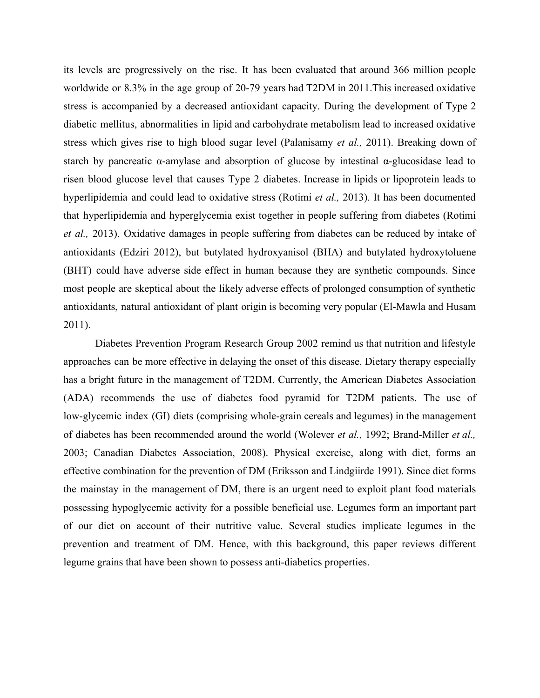its levels are progressively on the rise. It has been evaluated that around 366 million people worldwide or 8.3% in the age group of 20-79 years had T2DM in 2011.This increased oxidative stress is accompanied by a decreased antioxidant capacity. During the development of Type 2 diabetic mellitus, abnormalities in lipid and carbohydrate metabolism lead to increased oxidative stress which gives rise to high blood sugar level (Palanisamy *et al.,* 2011). Breaking down of starch by pancreatic  $\alpha$ -amylase and absorption of glucose by intestinal  $\alpha$ -glucosidase lead to risen blood glucose level that causes Type 2 diabetes. Increase in lipids or lipoprotein leads to hyperlipidemia and could lead to oxidative stress (Rotimi *et al.,* 2013). It has been documented that hyperlipidemia and hyperglycemia exist together in people suffering from diabetes (Rotimi *et al.,* 2013). Oxidative damages in people suffering from diabetes can be reduced by intake of antioxidants (Edziri 2012), but butylated hydroxyanisol (BHA) and butylated hydroxytoluene (BHT) could have adverse side effect in human because they are synthetic compounds. Since most people are skeptical about the likely adverse effects of prolonged consumption of synthetic antioxidants, natural antioxidant of plant origin is becoming very popular (El-Mawla and Husam 2011).

Diabetes Prevention Program Research Group 2002 remind us that nutrition and lifestyle approaches can be more effective in delaying the onset of this disease. Dietary therapy especially has a bright future in the management of T2DM. Currently, the American Diabetes Association (ADA) recommends the use of diabetes food pyramid for T2DM patients. The use of low-glycemic index (GI) diets (comprising whole-grain cereals and legumes) in the management of diabetes has been recommended around the world (Wolever *et al.,* 1992; Brand-Miller *et al.,* 2003; Canadian Diabetes Association, 2008). Physical exercise, along with diet, forms an effective combination for the prevention of DM (Eriksson and Lindgiirde 1991). Since diet forms the mainstay in the management of DM, there is an urgent need to exploit plant food materials possessing hypoglycemic activity for a possible beneficial use. Legumes form an important part of our diet on account of their nutritive value. Several studies implicate legumes in the prevention and treatment of DM. Hence, with this background, this paper reviews different legume grains that have been shown to possess anti-diabetics properties.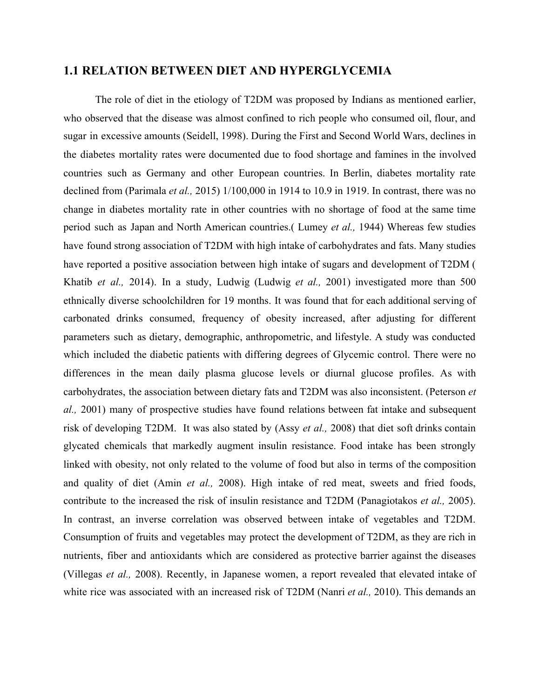### **1.1 RELATION BETWEEN DIET AND HYPERGLYCEMIA**

The role of diet in the etiology of T2DM was proposed by Indians as mentioned earlier, who observed that the disease was almost confined to rich people who consumed oil, flour, and sugar in excessive amounts (Seidell, 1998). During the First and Second World Wars, declines in the diabetes mortality rates were documented due to food shortage and famines in the involved countries such as Germany and other European countries. In Berlin, diabetes mortality rate declined from (Parimala *et al.,* 2015) 1/100,000 in 1914 to 10.9 in 1919. In contrast, there was no change in diabetes mortality rate in other countries with no shortage of food at the same time period such as Japan and North American countries.( Lumey *et al.,* 1944) Whereas few studies have found strong association of T2DM with high intake of carbohydrates and fats. Many studies have reported a positive association between high intake of sugars and development of T2DM ( Khatib *et al.,* 2014). In a study, Ludwig (Ludwig *et al.,* 2001) investigated more than 500 ethnically diverse schoolchildren for 19 months. It was found that for each additional serving of carbonated drinks consumed, frequency of obesity increased, after adjusting for different parameters such as dietary, demographic, anthropometric, and lifestyle. A study was conducted which included the diabetic patients with differing degrees of Glycemic control. There were no differences in the mean daily plasma glucose levels or diurnal glucose profiles. As with carbohydrates, the association between dietary fats and T2DM was also inconsistent. (Peterson *et al.,* 2001) many of prospective studies have found relations between fat intake and subsequent risk of developing T2DM. It was also stated by (Assy *et al.,* 2008) that diet soft drinks contain glycated chemicals that markedly augment insulin resistance. Food intake has been strongly linked with obesity, not only related to the volume of food but also in terms of the composition and quality of diet (Amin *et al.,* 2008). High intake of red meat, sweets and fried foods, contribute to the increased the risk of insulin resistance and T2DM (Panagiotakos *et al.,* 2005). In contrast, an inverse correlation was observed between intake of vegetables and T2DM. Consumption of fruits and vegetables may protect the development of T2DM, as they are rich in nutrients, fiber and antioxidants which are considered as protective barrier against the diseases (Villegas *et al.,* 2008). Recently, in Japanese women, a report revealed that elevated intake of white rice was associated with an increased risk of T2DM (Nanri *et al.,* 2010). This demands an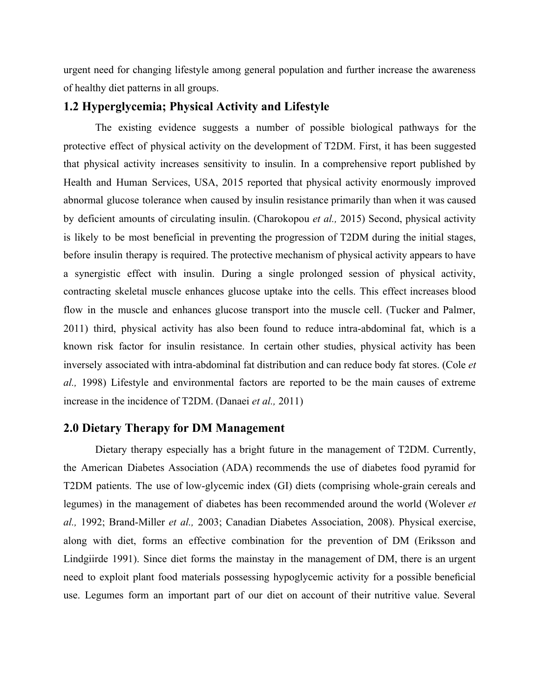urgent need for changing lifestyle among general population and further increase the awareness of healthy diet patterns in all groups.

### **1.2 Hyperglycemia; Physical Activity and Lifestyle**

The existing evidence suggests a number of possible biological pathways for the protective effect of physical activity on the development of T2DM. First, it has been suggested that physical activity increases sensitivity to insulin. In a comprehensive report published by Health and Human Services, USA, 2015 reported that physical activity enormously improved abnormal glucose tolerance when caused by insulin resistance primarily than when it was caused by deficient amounts of circulating insulin. (Charokopou *et al.,* 2015) Second, physical activity is likely to be most beneficial in preventing the progression of T2DM during the initial stages, before insulin therapy is required. The protective mechanism of physical activity appears to have a synergistic effect with insulin. During a single prolonged session of physical activity, contracting skeletal muscle enhances glucose uptake into the cells. This effect increases blood flow in the muscle and enhances glucose transport into the muscle cell. (Tucker and Palmer, 2011) third, physical activity has also been found to reduce intra-abdominal fat, which is a known risk factor for insulin resistance. In certain other studies, physical activity has been inversely associated with intra-abdominal fat distribution and can reduce body fat stores. (Cole *et al.,* 1998) Lifestyle and environmental factors are reported to be the main causes of extreme increase in the incidence of T2DM. (Danaei *et al.,* 2011)

### **2.0 Dietary Therapy for DM Management**

Dietary therapy especially has a bright future in the management of T2DM. Currently, the American Diabetes Association (ADA) recommends the use of diabetes food pyramid for T2DM patients. The use of low-glycemic index (GI) diets (comprising whole-grain cereals and legumes) in the management of diabetes has been recommended around the world (Wolever *et al.,* 1992; Brand-Miller *et al.,* 2003; Canadian Diabetes Association, 2008). Physical exercise, along with diet, forms an effective combination for the prevention of DM (Eriksson and Lindgiirde 1991). Since diet forms the mainstay in the management of DM, there is an urgent need to exploit plant food materials possessing hypoglycemic activity for a possible beneficial use. Legumes form an important part of our diet on account of their nutritive value. Several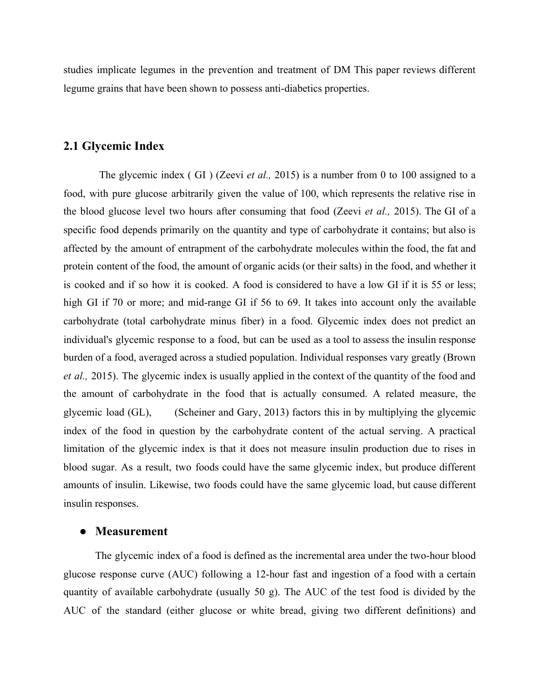studies implicate legumes in the prevention and treatment of DM This paper reviews different legume grains that have been shown to possess anti-diabetics properties.

## **2.1 Glycemic Index**

The glycemic index ( GI ) (Zeevi *et al.,* 2015) is a number from 0 to 100 assigned to a food, with pure glucose arbitrarily given the value of 100, which represents the relative rise in the blood glucose level two hours after consuming that food (Zeevi *et al.,* 2015). The GI of a specific food depends primarily on the quantity and type of carbohydrate it contains; but also is affected by the amount of entrapment of the carbohydrate molecules within the food, the fat and protein content of the food, the amount of organic acids (or their salts) in the food, and whether it is cooked and if so how it is cooked. A food is considered to have a low GI if it is 55 or less; high GI if 70 or more; and mid-range GI if 56 to 69. It takes into account only the available carbohydrate (total carbohydrate minus fiber) in a food. Glycemic index does not predict an individual's glycemic response to a food, but can be used as a tool to assess the insulin response burden of a food, averaged across a studied population. Individual responses vary greatly (Brown *et al.,* 2015). The glycemic index is usually applied in the context of the quantity of the food and the amount of carbohydrate in the food that is actually consumed. A related measure, the glycemic load (GL), (Scheiner and Gary, 2013) factors this in by multiplying the glycemic index of the food in question by the carbohydrate content of the actual serving. A practical limitation of the glycemic index is that it does not measure insulin production due to rises in blood sugar. As a result, two foods could have the same glycemic index, but produce different amounts of insulin. Likewise, two foods could have the same glycemic load, but cause different insulin responses.

#### **● Measurement**

The glycemic index of a food is defined as the incremental area under the two-hour blood glucose response curve (AUC) following a 12-hour fast and ingestion of a food with a certain quantity of available carbohydrate (usually 50 g). The AUC of the test food is divided by the AUC of the standard (either glucose or white bread, giving two different definitions) and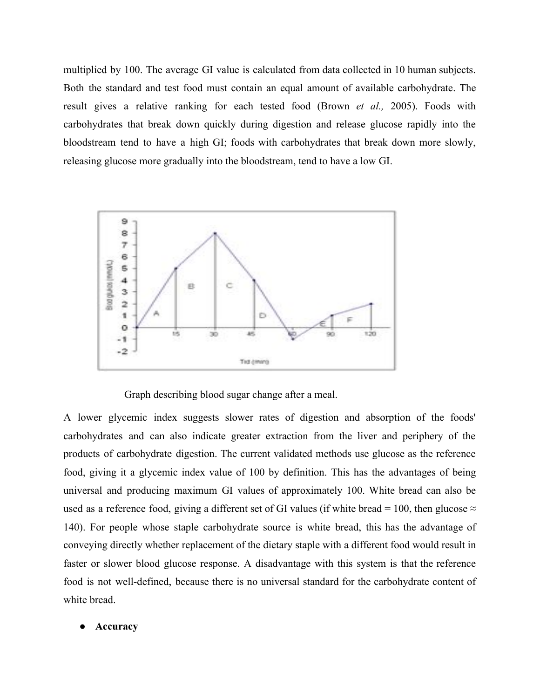multiplied by 100. The average GI value is calculated from data collected in 10 human subjects. Both the standard and test food must contain an equal amount of available carbohydrate. The result gives a relative ranking for each tested food (Brown *et al.,* 2005). Foods with carbohydrates that break down quickly during digestion and release glucose rapidly into the bloodstream tend to have a high GI; foods with carbohydrates that break down more slowly, releasing glucose more gradually into the bloodstream, tend to have a low GI.



Graph describing blood sugar change after a meal.

A lower glycemic index suggests slower rates of digestion and absorption of the foods' carbohydrates and can also indicate greater extraction from the liver and periphery of the products of carbohydrate digestion. The current validated methods use glucose as the reference food, giving it a glycemic index value of 100 by definition. This has the advantages of being universal and producing maximum GI values of approximately 100. White bread can also be used as a reference food, giving a different set of GI values (if white bread = 100, then glucose  $\approx$ 140). For people whose staple carbohydrate source is white bread, this has the advantage of conveying directly whether replacement of the dietary staple with a different food would result in faster or slower blood glucose response. A disadvantage with this system is that the reference food is not well-defined, because there is no universal standard for the carbohydrate content of white bread.

### **● Accuracy**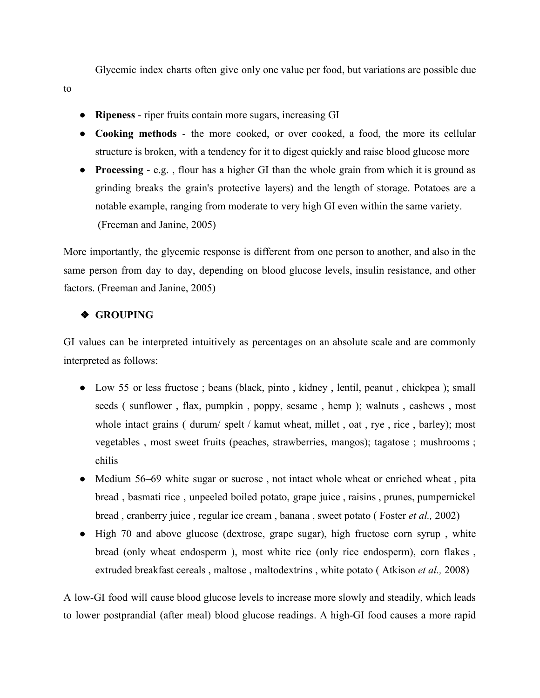Glycemic index charts often give only one value per food, but variations are possible due

- **Ripeness** riper fruits contain more sugars, increasing GI
- **Cooking methods** the more cooked, or over cooked, a food, the more its cellular structure is broken, with a tendency for it to digest quickly and raise blood glucose more
- **Processing** e.g. , flour has a higher GI than the whole grain from which it is ground as grinding breaks the grain's protective layers) and the length of storage. Potatoes are a notable example, ranging from moderate to very high GI even within the same variety. (Freeman and Janine, 2005)

More importantly, the glycemic response is different from one person to another, and also in the same person from day to day, depending on blood glucose levels, insulin resistance, and other factors. (Freeman and Janine, 2005)

### ❖ **GROUPING**

GI values can be interpreted intuitively as percentages on an absolute scale and are commonly interpreted as follows:

- Low 55 or less fructose ; beans (black, pinto, kidney, lentil, peanut, chickpea); small seeds ( sunflower , flax, pumpkin , poppy, sesame , hemp ); walnuts , cashews , most whole intact grains ( durum/ spelt / kamut wheat, millet, oat, rye, rice, barley); most vegetables , most sweet fruits (peaches, strawberries, mangos); tagatose ; mushrooms ; chilis
- Medium 56–69 white sugar or sucrose, not intact whole wheat or enriched wheat, pita bread , basmati rice , unpeeled boiled potato, grape juice , raisins , prunes, pumpernickel bread , cranberry juice , regular ice cream , banana , sweet potato ( Foster *et al.,* 2002)
- High 70 and above glucose (dextrose, grape sugar), high fructose corn syrup, white bread (only wheat endosperm ), most white rice (only rice endosperm), corn flakes , extruded breakfast cereals , maltose , maltodextrins , white potato ( Atkison *et al.,* 2008)

A low-GI food will cause blood glucose levels to increase more slowly and steadily, which leads to lower postprandial (after meal) blood glucose readings. A high-GI food causes a more rapid

to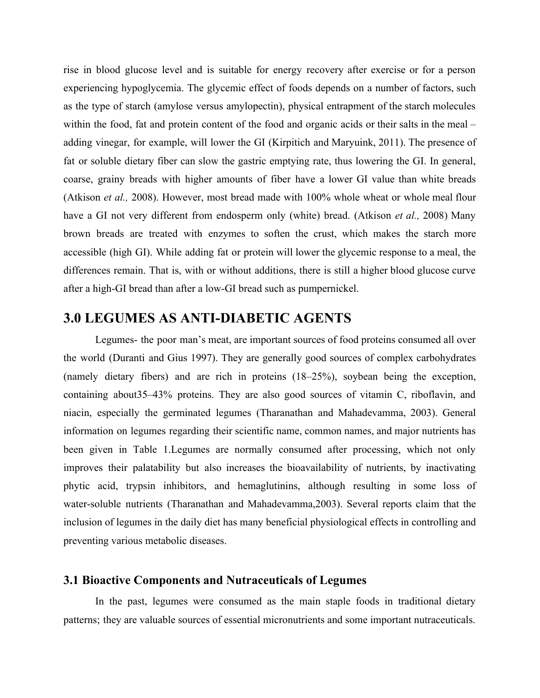rise in blood glucose level and is suitable for energy recovery after exercise or for a person experiencing hypoglycemia. The glycemic effect of foods depends on a number of factors, such as the type of starch (amylose versus amylopectin), physical entrapment of the starch molecules within the food, fat and protein content of the food and organic acids or their salts in the meal – adding vinegar, for example, will lower the GI (Kirpitich and Maryuink, 2011). The presence of fat or soluble dietary fiber can slow the gastric emptying rate, thus lowering the GI. In general, coarse, grainy breads with higher amounts of fiber have a lower GI value than white breads (Atkison *et al.,* 2008). However, most bread made with 100% whole wheat or whole meal flour have a GI not very different from endosperm only (white) bread. (Atkison *et al.,* 2008) Many brown breads are treated with enzymes to soften the crust, which makes the starch more accessible (high GI). While adding fat or protein will lower the glycemic response to a meal, the differences remain. That is, with or without additions, there is still a higher blood glucose curve after a high-GI bread than after a low-GI bread such as pumpernickel.

# **3.0 LEGUMES AS ANTI-DIABETIC AGENTS**

Legumes- the poor man's meat, are important sources of food proteins consumed all over the world (Duranti and Gius 1997). They are generally good sources of complex carbohydrates (namely dietary fibers) and are rich in proteins (18–25%), soybean being the exception, containing about35–43% proteins. They are also good sources of vitamin C, riboflavin, and niacin, especially the germinated legumes (Tharanathan and Mahadevamma, 2003). General information on legumes regarding their scientific name, common names, and major nutrients has been given in Table 1.Legumes are normally consumed after processing, which not only improves their palatability but also increases the bioavailability of nutrients, by inactivating phytic acid, trypsin inhibitors, and hemaglutinins, although resulting in some loss of water-soluble nutrients (Tharanathan and Mahadevamma,2003). Several reports claim that the inclusion of legumes in the daily diet has many beneficial physiological effects in controlling and preventing various metabolic diseases.

### **3.1 Bioactive Components and Nutraceuticals of Legumes**

In the past, legumes were consumed as the main staple foods in traditional dietary patterns; they are valuable sources of essential micronutrients and some important nutraceuticals.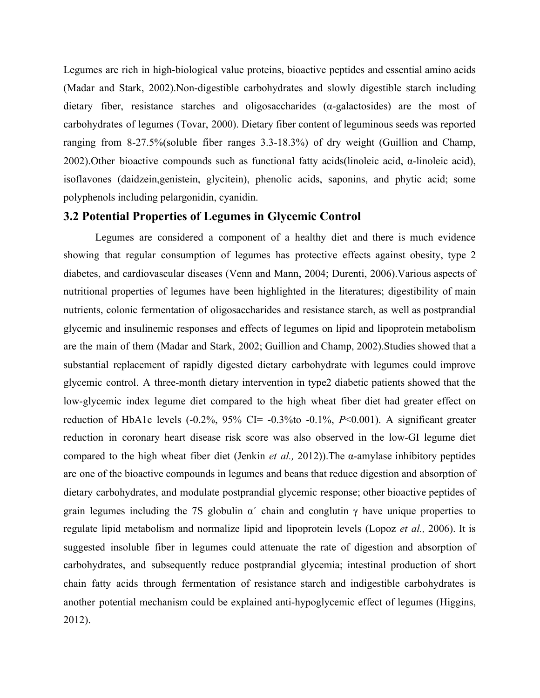Legumes are rich in high-biological value proteins, bioactive peptides and essential amino acids (Madar and Stark, 2002).Non-digestible carbohydrates and slowly digestible starch including dietary fiber, resistance starches and oligosaccharides (α-galactosides) are the most of carbohydrates of legumes (Tovar, 2000). Dietary fiber content of leguminous seeds was reported ranging from 8-27.5%(soluble fiber ranges 3.3-18.3%) of dry weight (Guillion and Champ, 2002). Other bioactive compounds such as functional fatty acids(linoleic acid,  $\alpha$ -linoleic acid), isoflavones (daidzein,genistein, glycitein), phenolic acids, saponins, and phytic acid; some polyphenols including pelargonidin, cyanidin.

### **3.2 Potential Properties of Legumes in Glycemic Control**

Legumes are considered a component of a healthy diet and there is much evidence showing that regular consumption of legumes has protective effects against obesity, type 2 diabetes, and cardiovascular diseases (Venn and Mann, 2004; Durenti, 2006).Various aspects of nutritional properties of legumes have been highlighted in the literatures; digestibility of main nutrients, colonic fermentation of oligosaccharides and resistance starch, as well as postprandial glycemic and insulinemic responses and effects of legumes on lipid and lipoprotein metabolism are the main of them (Madar and Stark, 2002; Guillion and Champ, 2002).Studies showed that a substantial replacement of rapidly digested dietary carbohydrate with legumes could improve glycemic control. A three-month dietary intervention in type2 diabetic patients showed that the low-glycemic index legume diet compared to the high wheat fiber diet had greater effect on reduction of HbA1c levels  $(-0.2\%$ ,  $95\%$  CI=  $-0.3\%$  to  $-0.1\%$ ,  $P<0.001$ ). A significant greater reduction in coronary heart disease risk score was also observed in the low-GI legume diet compared to the high wheat fiber diet (Jenkin *et al.,* 2012)).The α-amylase inhibitory peptides are one of the bioactive compounds in legumes and beans that reduce digestion and absorption of dietary carbohydrates, and modulate postprandial glycemic response; other bioactive peptides of grain legumes including the 7S globulin  $\alpha'$  chain and conglutin  $\gamma$  have unique properties to regulate lipid metabolism and normalize lipid and lipoprotein levels (Lopoz *et al.,* 2006). It is suggested insoluble fiber in legumes could attenuate the rate of digestion and absorption of carbohydrates, and subsequently reduce postprandial glycemia; intestinal production of short chain fatty acids through fermentation of resistance starch and indigestible carbohydrates is another potential mechanism could be explained anti-hypoglycemic effect of legumes (Higgins, 2012).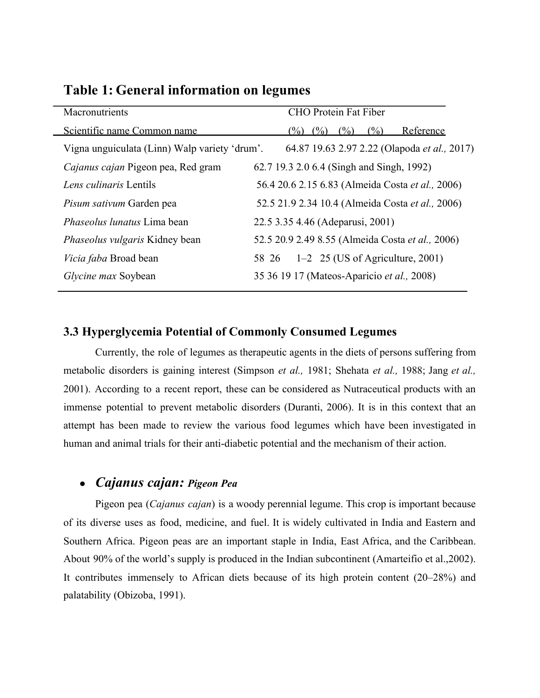| Macronutrients                                | <b>CHO</b> Protein Fat Fiber                     |
|-----------------------------------------------|--------------------------------------------------|
| Scientific name Common name                   | (%)<br>Reference<br>$(\%)$<br>(%)<br>$(\%)$      |
| Vigna unguiculata (Linn) Walp variety 'drum'. | 64.87 19.63 2.97 2.22 (Olapoda et al., 2017)     |
| Cajanus cajan Pigeon pea, Red gram            | 62.7 19.3 2.0 6.4 (Singh and Singh, 1992)        |
| Lens culinaris Lentils                        | 56.4 20.6 2.15 6.83 (Almeida Costa et al., 2006) |
| Pisum sativum Garden pea                      | 52.5 21.9 2.34 10.4 (Almeida Costa et al., 2006) |
| <i>Phaseolus lunatus</i> Lima bean            | 22.5 3.35 4.46 (Adeparusi, 2001)                 |
| <i>Phaseolus vulgaris</i> Kidney bean         | 52.5 20.9 2.49 8.55 (Almeida Costa et al., 2006) |
| <i>Vicia faba</i> Broad bean                  | $1-2$ 25 (US of Agriculture, 2001)<br>58 26      |
| Glycine max Soybean                           | 35 36 19 17 (Mateos-Aparicio et al., 2008)       |

## **Table 1: General information on legumes**

### **3.3 Hyperglycemia Potential of Commonly Consumed Legumes**

Currently, the role of legumes as therapeutic agents in the diets of persons suffering from metabolic disorders is gaining interest (Simpson *et al.,* 1981; Shehata *et al.,* 1988; Jang *et al.,* 2001). According to a recent report, these can be considered as Nutraceutical products with an immense potential to prevent metabolic disorders (Duranti, 2006). It is in this context that an attempt has been made to review the various food legumes which have been investigated in human and animal trials for their anti-diabetic potential and the mechanism of their action.

# *● Cajanus cajan: Pigeon Pea*

Pigeon pea (*Cajanus cajan*) is a woody perennial legume. This crop is important because of its diverse uses as food, medicine, and fuel. It is widely cultivated in India and Eastern and Southern Africa. Pigeon peas are an important staple in India, East Africa, and the Caribbean. About 90% of the world's supply is produced in the Indian subcontinent (Amarteifio et al.,2002). It contributes immensely to African diets because of its high protein content (20–28%) and palatability (Obizoba, 1991).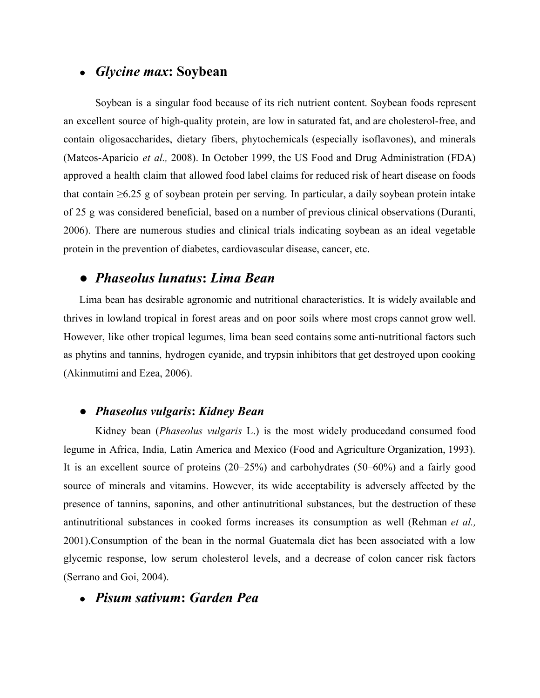## ● *Glycine max***: Soybean**

Soybean is a singular food because of its rich nutrient content. Soybean foods represent an excellent source of high-quality protein, are low in saturated fat, and are cholesterol-free, and contain oligosaccharides, dietary fibers, phytochemicals (especially isoflavones), and minerals (Mateos-Aparicio *et al.,* 2008). In October 1999, the US Food and Drug Administration (FDA) approved a health claim that allowed food label claims for reduced risk of heart disease on foods that contain  $\geq 6.25$  g of soybean protein per serving. In particular, a daily soybean protein intake of 25 g was considered beneficial, based on a number of previous clinical observations (Duranti, 2006). There are numerous studies and clinical trials indicating soybean as an ideal vegetable protein in the prevention of diabetes, cardiovascular disease, cancer, etc.

# *● Phaseolus lunatus***:** *Lima Bean*

Lima bean has desirable agronomic and nutritional characteristics. It is widely available and thrives in lowland tropical in forest areas and on poor soils where most crops cannot grow well. However, like other tropical legumes, lima bean seed contains some anti-nutritional factors such as phytins and tannins, hydrogen cyanide, and trypsin inhibitors that get destroyed upon cooking (Akinmutimi and Ezea, 2006).

### *● Phaseolus vulgaris***:** *Kidney Bean*

Kidney bean (*Phaseolus vulgaris* L.) is the most widely producedand consumed food legume in Africa, India, Latin America and Mexico (Food and Agriculture Organization, 1993). It is an excellent source of proteins (20–25%) and carbohydrates (50–60%) and a fairly good source of minerals and vitamins. However, its wide acceptability is adversely affected by the presence of tannins, saponins, and other antinutritional substances, but the destruction of these antinutritional substances in cooked forms increases its consumption as well (Rehman *et al.,* 2001).Consumption of the bean in the normal Guatemala diet has been associated with a low glycemic response, low serum cholesterol levels, and a decrease of colon cancer risk factors (Serrano and Goi, 2004).

## ● *Pisum sativum***:** *Garden Pea*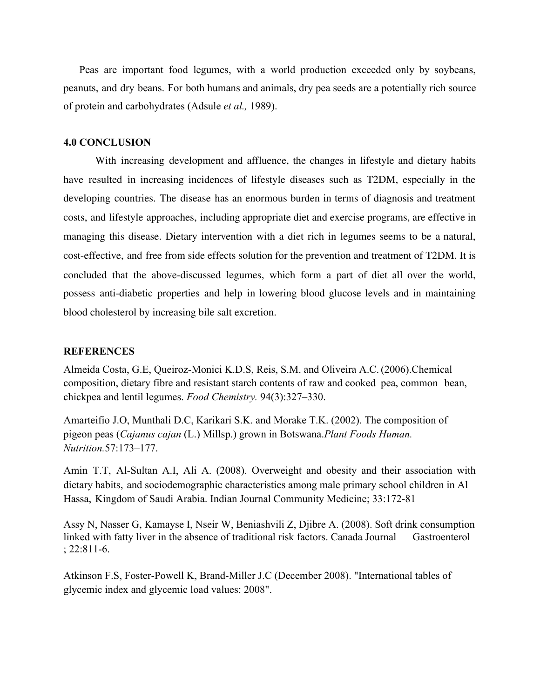Peas are important food legumes, with a world production exceeded only by soybeans, peanuts, and dry beans. For both humans and animals, dry pea seeds are a potentially rich source of protein and carbohydrates (Adsule *et al.,* 1989).

#### **4.0 CONCLUSION**

With increasing development and affluence, the changes in lifestyle and dietary habits have resulted in increasing incidences of lifestyle diseases such as T2DM, especially in the developing countries. The disease has an enormous burden in terms of diagnosis and treatment costs, and lifestyle approaches, including appropriate diet and exercise programs, are effective in managing this disease. Dietary intervention with a diet rich in legumes seems to be a natural, cost-effective, and free from side effects solution for the prevention and treatment of T2DM. It is concluded that the above-discussed legumes, which form a part of diet all over the world, possess anti-diabetic properties and help in lowering blood glucose levels and in maintaining blood cholesterol by increasing bile salt excretion.

#### **REFERENCES**

Almeida Costa, G.E, Queiroz-Monici K.D.S, Reis, S.M. and Oliveira A.C. (2006).Chemical composition, dietary fibre and resistant starch contents of raw and cooked pea, common bean, chickpea and lentil legumes. *Food Chemistry.* 94(3):327–330.

Amarteifio J.O, Munthali D.C, Karikari S.K. and Morake T.K. (2002). The composition of pigeon peas (*Cajanus cajan* (L.) Millsp.) grown in Botswana.*Plant Foods Human. Nutrition.*57:173–177.

Amin T.T, Al-Sultan A.I, Ali A. (2008). Overweight and obesity and their association with dietary habits, and sociodemographic characteristics among male primary school children in Al Hassa, Kingdom of Saudi Arabia. Indian Journal Community Medicine; 33:172-81

Assy N, Nasser G, Kamayse I, Nseir W, Beniashvili Z, Djibre A. (2008). Soft drink consumption linked with fatty liver in the absence of traditional risk factors. Canada Journal Gastroenterol ; 22:811-6.

Atkinson F.S, Foster-Powell K, Brand-Miller J.C (December 2008). "International tables of glycemic index and glycemic load values: 2008".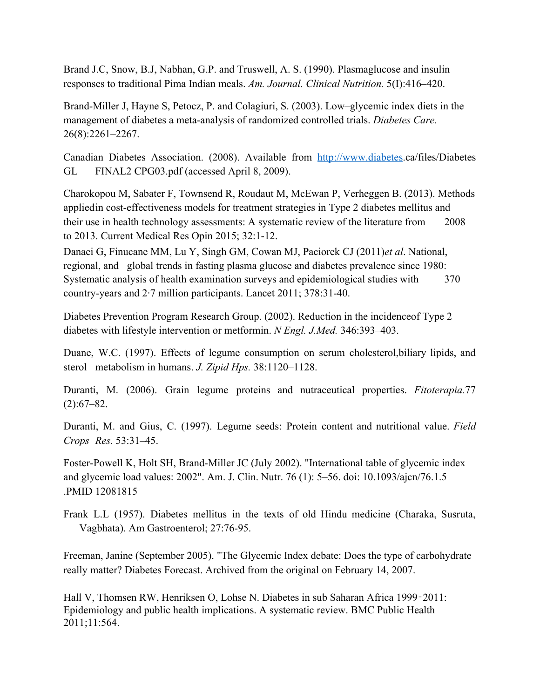Brand J.C, Snow, B.J, Nabhan, G.P. and Truswell, A. S. (1990). Plasmaglucose and insulin responses to traditional Pima Indian meals. *Am. Journal. Clinical Nutrition.* 5(I):416–420.

Brand-Miller J, Hayne S, Petocz, P. and Colagiuri, S. (2003). Low–glycemic index diets in the management of diabetes a meta-analysis of randomized controlled trials. *Diabetes Care.* 26(8):2261–2267.

Canadian Diabetes Association. (2008). Available from [http://www.diabetes.](http://www.diabetes/)ca/files/Diabetes GL FINAL2 CPG03.pdf (accessed April 8, 2009).

Charokopou M, Sabater F, Townsend R, Roudaut M, McEwan P, Verheggen B. (2013). Methods appliedin cost-effectiveness models for treatment strategies in Type 2 diabetes mellitus and their use in health technology assessments: A systematic review of the literature from 2008 to 2013. Current Medical Res Opin 2015; 32:1-12.

Danaei G, Finucane MM, Lu Y, Singh GM, Cowan MJ, Paciorek CJ (2011)*et al*. National, regional, and global trends in fasting plasma glucose and diabetes prevalence since 1980: Systematic analysis of health examination surveys and epidemiological studies with 370 country-years and 2·7 million participants. Lancet 2011; 378:31-40.

Diabetes Prevention Program Research Group. (2002). Reduction in the incidenceof Type 2 diabetes with lifestyle intervention or metformin. *N Engl. J.Med.* 346:393–403.

Duane, W.C. (1997). Effects of legume consumption on serum cholesterol,biliary lipids, and sterol metabolism in humans. *J. Zipid Hps.* 38:1120–1128.

Duranti, M. (2006). Grain legume proteins and nutraceutical properties. *Fitoterapia.*77  $(2):67-82.$ 

Duranti, M. and Gius, C. (1997). Legume seeds: Protein content and nutritional value. *Field Crops Res.* 53:31–45.

Foster-Powell K, Holt SH, Brand-Miller JC (July 2002). "International table of glycemic index and glycemic load values: 2002". Am. J. Clin. Nutr. 76 (1): 5–56. doi: 10.1093/ajcn/76.1.5 .PMID 12081815

Frank L.L (1957). Diabetes mellitus in the texts of old Hindu medicine (Charaka, Susruta, Vagbhata). Am Gastroenterol; 27:76-95.

Freeman, Janine (September 2005). "The Glycemic Index debate: Does the type of carbohydrate really matter? Diabetes Forecast. Archived from the original on February 14, 2007.

Hall V, Thomsen RW, Henriksen O, Lohse N. Diabetes in sub Saharan Africa 1999‑2011: Epidemiology and public health implications. A systematic review. BMC Public Health 2011;11:564.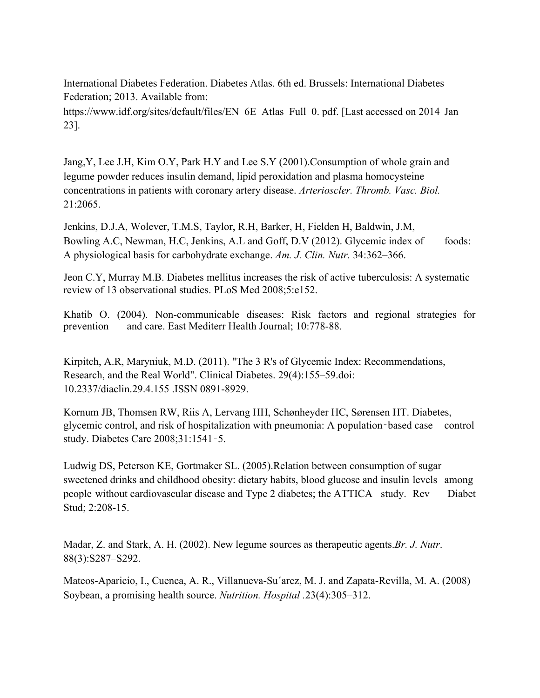International Diabetes Federation. Diabetes Atlas. 6th ed. Brussels: International Diabetes Federation; 2013. Available from:

https://www.idf.org/sites/default/files/EN\_6E\_Atlas\_Full\_0. pdf. [Last accessed on 2014 Jan 23].

Jang,Y, Lee J.H, Kim O.Y, Park H.Y and Lee S.Y (2001).Consumption of whole grain and legume powder reduces insulin demand, lipid peroxidation and plasma homocysteine concentrations in patients with coronary artery disease. *Arterioscler. Thromb. Vasc. Biol.* 21:2065.

Jenkins, D.J.A, Wolever, T.M.S, Taylor, R.H, Barker, H, Fielden H, Baldwin, J.M, Bowling A.C, Newman, H.C, Jenkins, A.L and Goff, D.V (2012). Glycemic index of foods: A physiological basis for carbohydrate exchange. *Am. J. Clin. Nutr.* 34:362–366.

Jeon C.Y, Murray M.B. Diabetes mellitus increases the risk of active tuberculosis: A systematic review of 13 observational studies. PLoS Med 2008;5:e152.

Khatib O. (2004). Non-communicable diseases: Risk factors and regional strategies for prevention and care. East Mediterr Health Journal; 10:778-88.

Kirpitch, A.R, Maryniuk, M.D. (2011). "The 3 R's of Glycemic Index: Recommendations, Research, and the Real World". Clinical Diabetes. 29(4):155–59.doi: 10.2337/diaclin.29.4.155 .ISSN 0891-8929.

Kornum JB, Thomsen RW, Riis A, Lervang HH, Schønheyder HC, Sørensen HT. Diabetes, glycemic control, and risk of hospitalization with pneumonia: A population‑based case control study. Diabetes Care 2008;31:1541‑5.

Ludwig DS, Peterson KE, Gortmaker SL. (2005).Relation between consumption of sugar sweetened drinks and childhood obesity: dietary habits, blood glucose and insulin levels among people without cardiovascular disease and Type 2 diabetes; the ATTICA study. Rev Diabet Stud; 2:208-15.

Madar, Z. and Stark, A. H. (2002). New legume sources as therapeutic agents.*Br. J. Nutr*. 88(3):S287–S292.

Mateos-Aparicio, I., Cuenca, A. R., Villanueva-Su´arez, M. J. and Zapata-Revilla, M. A. (2008) Soybean, a promising health source. *Nutrition. Hospital .*23(4):305–312.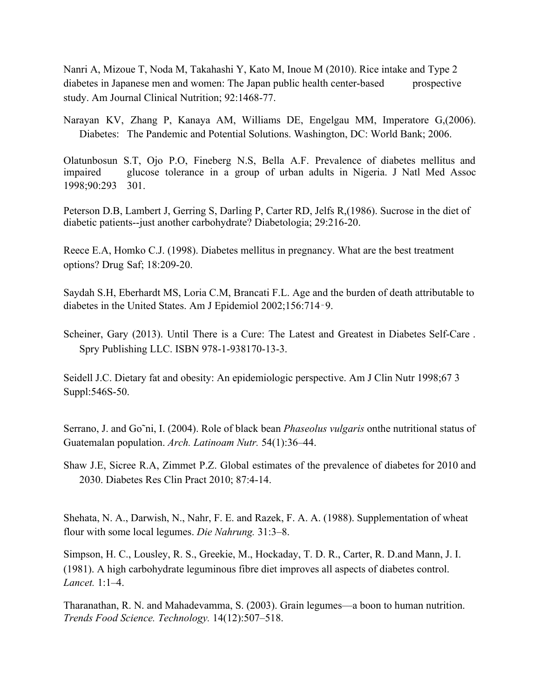Nanri A, Mizoue T, Noda M, Takahashi Y, Kato M, Inoue M (2010). Rice intake and Type 2 diabetes in Japanese men and women: The Japan public health center-based prospective study. Am Journal Clinical Nutrition; 92:1468-77.

Narayan KV, Zhang P, Kanaya AM, Williams DE, Engelgau MM, Imperatore G,(2006). Diabetes: The Pandemic and Potential Solutions. Washington, DC: World Bank; 2006.

Olatunbosun S.T, Ojo P.O, Fineberg N.S, Bella A.F. Prevalence of diabetes mellitus and impaired glucose tolerance in a group of urban adults in Nigeria. J Natl Med Assoc 1998;90:293 301.

Peterson D.B, Lambert J, Gerring S, Darling P, Carter RD, Jelfs R,(1986). Sucrose in the diet of diabetic patients--just another carbohydrate? Diabetologia; 29:216-20.

Reece E.A, Homko C.J. (1998). Diabetes mellitus in pregnancy. What are the best treatment options? Drug Saf; 18:209-20.

Saydah S.H, Eberhardt MS, Loria C.M, Brancati F.L. Age and the burden of death attributable to diabetes in the United States. Am J Epidemiol 2002;156:714‑9.

Scheiner, Gary (2013). Until There is a Cure: The Latest and Greatest in Diabetes Self-Care . Spry Publishing LLC. ISBN 978-1-938170-13-3.

Seidell J.C. Dietary fat and obesity: An epidemiologic perspective. Am J Clin Nutr 1998;67 3 Suppl:546S-50.

Serrano, J. and Go˜ni, I. (2004). Role of black bean *Phaseolus vulgaris* onthe nutritional status of Guatemalan population. *Arch. Latinoam Nutr.* 54(1):36–44.

Shaw J.E, Sicree R.A, Zimmet P.Z. Global estimates of the prevalence of diabetes for 2010 and 2030. Diabetes Res Clin Pract 2010; 87:4-14.

Shehata, N. A., Darwish, N., Nahr, F. E. and Razek, F. A. A. (1988). Supplementation of wheat flour with some local legumes. *Die Nahrung.* 31:3–8.

Simpson, H. C., Lousley, R. S., Greekie, M., Hockaday, T. D. R., Carter, R. D.and Mann, J. I. (1981). A high carbohydrate leguminous fibre diet improves all aspects of diabetes control. *Lancet.* 1:1–4.

Tharanathan, R. N. and Mahadevamma, S. (2003). Grain legumes—a boon to human nutrition. *Trends Food Science. Technology.* 14(12):507–518.